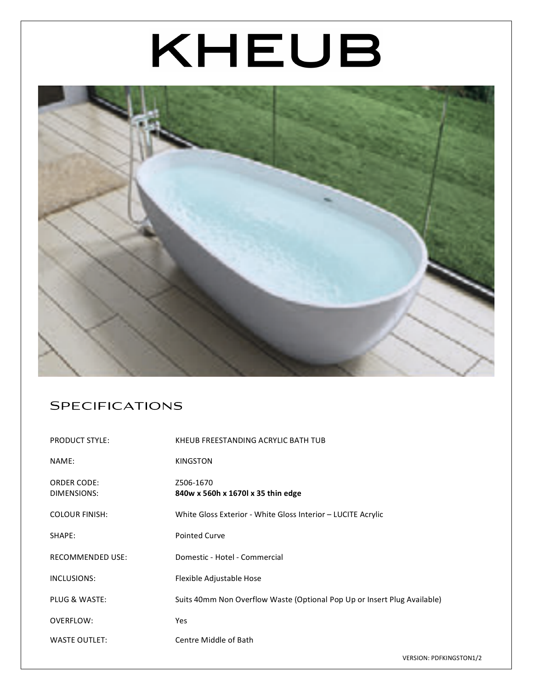# KHEUB



## **SPECIFICATIONS**

| <b>PRODUCT STYLE:</b>             | KHEUB FREESTANDING ACRYLIC BATH TUB                                      |
|-----------------------------------|--------------------------------------------------------------------------|
| NAME:                             | <b>KINGSTON</b>                                                          |
| <b>ORDER CODE:</b><br>DIMENSIONS: | Z506-1670<br>840w x 560h x 1670l x 35 thin edge                          |
| <b>COLOUR FINISH:</b>             | White Gloss Exterior - White Gloss Interior - LUCITE Acrylic             |
| SHAPE:                            | <b>Pointed Curve</b>                                                     |
| <b>RECOMMENDED USE:</b>           | Domestic - Hotel - Commercial                                            |
| INCLUSIONS:                       | Flexible Adjustable Hose                                                 |
| PLUG & WASTE:                     | Suits 40mm Non Overflow Waste (Optional Pop Up or Insert Plug Available) |
| OVERFLOW:                         | <b>Yes</b>                                                               |
| <b>WASTE OUTLET:</b>              | Centre Middle of Bath                                                    |

VERSION: PDFKINGSTON1/2